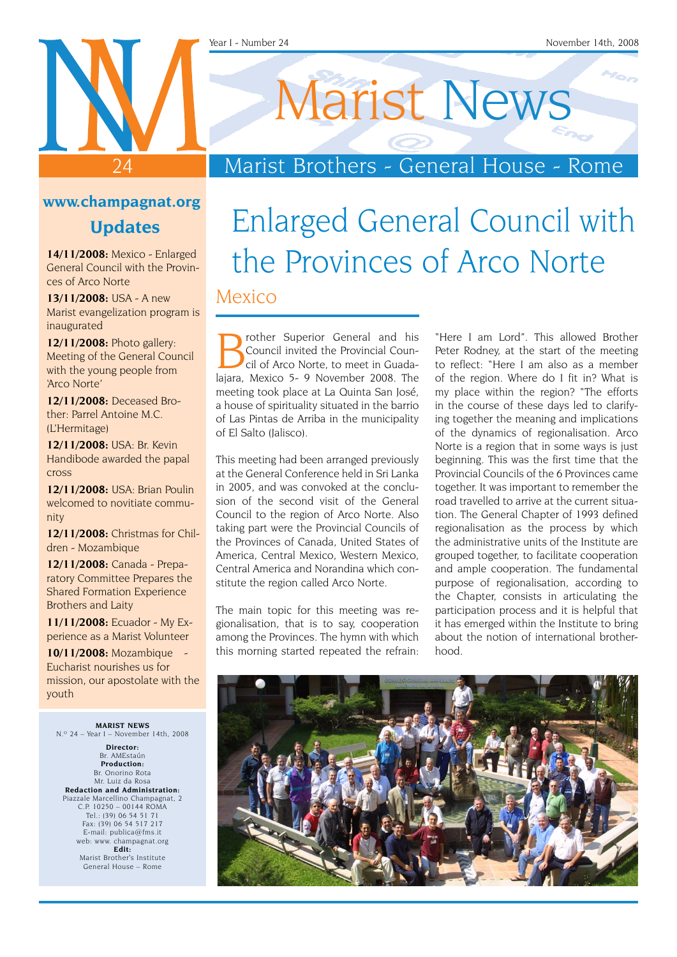# 24

### Marist Brothers - General House - Rome

Marist News

### **www.champagnat.org**

**Updates**

**14/11/2008:** Mexico - Enlarged General Council with the Provinces of Arco Norte

**13/11/2008:** USA - A new Marist evangelization program is inaugurated

**12/11/2008:** Photo gallery: Meeting of the General Council with the young people from 'Arco Norte'

**12/11/2008:** Deceased Brother: Parrel Antoine M.C. (L'Hermitage)

**12/11/2008:** USA: Br. Kevin Handibode awarded the papal cross

**12/11/2008:** USA: Brian Poulin welcomed to novitiate community

**12/11/2008:** Christmas for Children - Mozambique

**12/11/2008:** Canada - Preparatory Committee Prepares the Shared Formation Experience Brothers and Laity

**11/11/2008:** Ecuador - My Experience as a Marist Volunteer

**10/11/2008:** Mozambique - Eucharist nourishes us for mission, our apostolate with the youth

**MARIST NEWS** N.º 24 – Year I – November 14th, 2008

**Director:** Br. AMEstaún **Production:** Br. Onorino Rota Mr. Luiz da Rosa **Redaction and Administration:** Piazzale Marcellino Champagnat, 2 C.P. 10250 – 00144 ROMA Tel.: (39) 06 54 51 71 Fax: (39) 06 54 517 217 E-mail: publica@fms.it web: www. champagnat.org **Edit:** Marist Brother's Institute General House – Rome

## Enlarged General Council with the Provinces of Arco Norte Mexico

rother Superior General and his Council invited the Provincial Council of Arco Norte, to meet in Guadalajara, Mexico 5- 9 November 2008. The meeting took place at La Quinta San José, a house of spirituality situated in the barrio of Las Pintas de Arriba in the municipality of El Salto (Jalisco).

This meeting had been arranged previously at the General Conference held in Sri Lanka in 2005, and was convoked at the conclusion of the second visit of the General Council to the region of Arco Norte. Also taking part were the Provincial Councils of the Provinces of Canada, United States of America, Central Mexico, Western Mexico, Central America and Norandina which constitute the region called Arco Norte.

The main topic for this meeting was regionalisation, that is to say, cooperation among the Provinces. The hymn with which this morning started repeated the refrain: "Here I am Lord". This allowed Brother Peter Rodney, at the start of the meeting to reflect: "Here I am also as a member of the region. Where do I fit in? What is my place within the region? "The efforts in the course of these days led to clarifying together the meaning and implications of the dynamics of regionalisation. Arco Norte is a region that in some ways is just beginning. This was the first time that the Provincial Councils of the 6 Provinces came together. It was important to remember the road travelled to arrive at the current situation. The General Chapter of 1993 defined regionalisation as the process by which the administrative units of the Institute are grouped together, to facilitate cooperation and ample cooperation. The fundamental purpose of regionalisation, according to the Chapter, consists in articulating the participation process and it is helpful that it has emerged within the Institute to bring about the notion of international brotherhood.

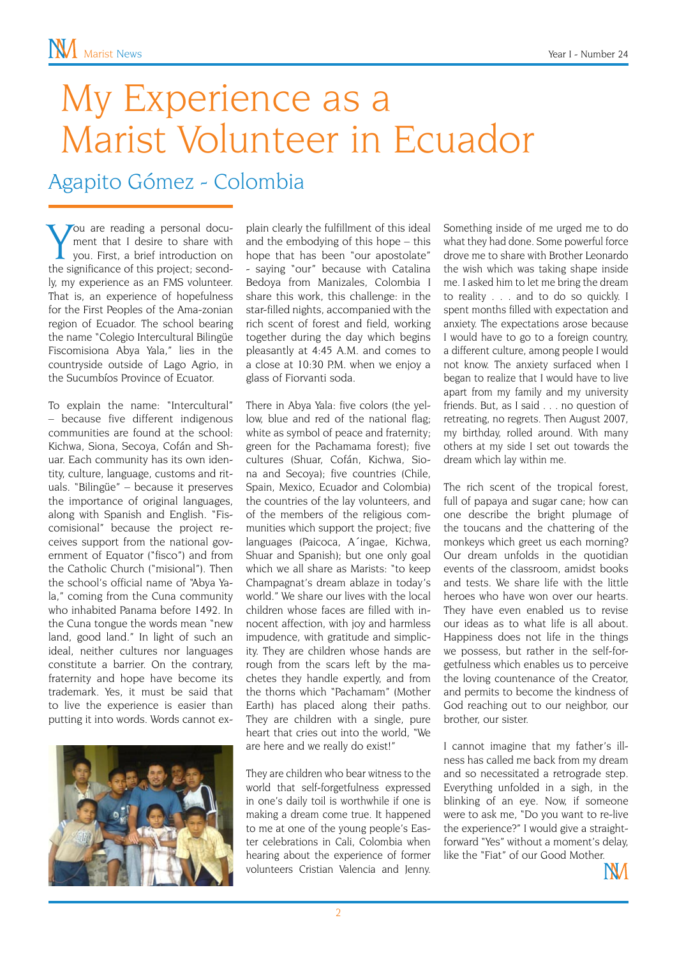# My Experience as a Marist Volunteer in Ecuador

Agapito Gómez - Colombia

You are reading a personal docu-<br>
ment that I desire to share with<br>
you. First, a brief introduction on<br>
the significance of this project; second-Tou are reading a personal document that I desire to share with you. First, a brief introduction on ly, my experience as an FMS volunteer. That is, an experience of hopefulness for the First Peoples of the Ama-zonian region of Ecuador. The school bearing the name "Colegio Intercultural Bilingüe Fiscomisiona Abya Yala," lies in the countryside outside of Lago Agrio, in the Sucumbíos Province of Ecuator.

To explain the name: "Intercultural" – because five different indigenous communities are found at the school: Kichwa, Siona, Secoya, Cofán and Shuar. Each community has its own identity, culture, language, customs and rituals. "Bilingüe" – because it preserves the importance of original languages, along with Spanish and English. "Fiscomisional" because the project receives support from the national government of Equator ("fisco") and from the Catholic Church ("misional"). Then the school's official name of "Abya Yala," coming from the Cuna community who inhabited Panama before 1492. In the Cuna tongue the words mean "new land, good land." In light of such an ideal, neither cultures nor languages constitute a barrier. On the contrary, fraternity and hope have become its trademark. Yes, it must be said that to live the experience is easier than putting it into words. Words cannot ex-



plain clearly the fulfillment of this ideal and the embodying of this hope – this hope that has been "our apostolate" - saying "our" because with Catalina Bedoya from Manizales, Colombia I share this work, this challenge: in the star-filled nights, accompanied with the rich scent of forest and field, working together during the day which begins pleasantly at 4:45 A.M. and comes to a close at 10:30 P.M. when we enjoy a glass of Fiorvanti soda.

There in Abya Yala: five colors (the yellow, blue and red of the national flag; white as symbol of peace and fraternity; green for the Pachamama forest); five cultures (Shuar, Cofán, Kichwa, Siona and Secoya); five countries (Chile, Spain, Mexico, Ecuador and Colombia) the countries of the lay volunteers, and of the members of the religious communities which support the project; five languages (Paicoca, A´ingae, Kichwa, Shuar and Spanish); but one only goal which we all share as Marists: "to keep Champagnat's dream ablaze in today's world." We share our lives with the local children whose faces are filled with innocent affection, with joy and harmless impudence, with gratitude and simplicity. They are children whose hands are rough from the scars left by the machetes they handle expertly, and from the thorns which "Pachamam" (Mother Earth) has placed along their paths. They are children with a single, pure heart that cries out into the world, "We are here and we really do exist!"

They are children who bear witness to the world that self-forgetfulness expressed in one's daily toil is worthwhile if one is making a dream come true. It happened to me at one of the young people's Easter celebrations in Cali, Colombia when hearing about the experience of former volunteers Cristian Valencia and Jenny.

Something inside of me urged me to do what they had done. Some powerful force drove me to share with Brother Leonardo the wish which was taking shape inside me. I asked him to let me bring the dream to reality . . . and to do so quickly. I spent months filled with expectation and anxiety. The expectations arose because I would have to go to a foreign country, a different culture, among people I would not know. The anxiety surfaced when I began to realize that I would have to live apart from my family and my university friends. But, as I said . . . no question of retreating, no regrets. Then August 2007, my birthday, rolled around. With many others at my side I set out towards the dream which lay within me.

The rich scent of the tropical forest, full of papaya and sugar cane; how can one describe the bright plumage of the toucans and the chattering of the monkeys which greet us each morning? Our dream unfolds in the quotidian events of the classroom, amidst books and tests. We share life with the little heroes who have won over our hearts. They have even enabled us to revise our ideas as to what life is all about. Happiness does not life in the things we possess, but rather in the self-forgetfulness which enables us to perceive the loving countenance of the Creator, and permits to become the kindness of God reaching out to our neighbor, our brother, our sister.

I cannot imagine that my father's illness has called me back from my dream and so necessitated a retrograde step. Everything unfolded in a sigh, in the blinking of an eye. Now, if someone were to ask me, "Do you want to re-live the experience?" I would give a straightforward "Yes" without a moment's delay, like the "Fiat" of our Good Mother.

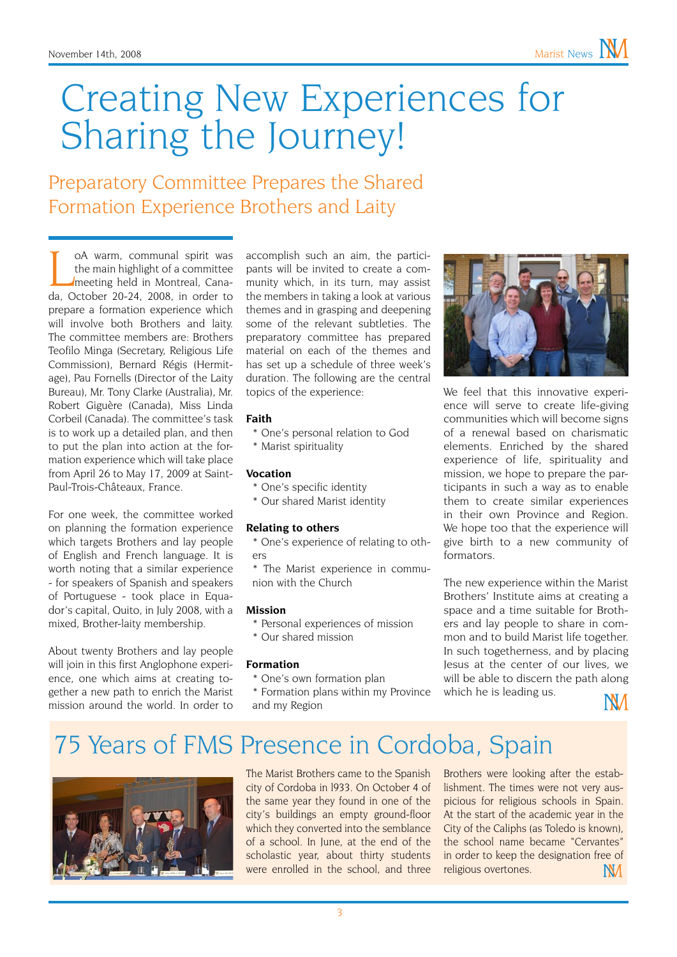# Creating New Experiences for Sharing the Journey!

Preparatory Committee Prepares the Shared Formation Experience Brothers and Laity

OA warm, communal spirit was<br>the main highlight of a committee<br>meeting held in Montreal, Cana-<br>da, October 20-24, 2008, in order to oA warm, communal spirit was the main highlight of a committee meeting held in Montreal, Canaprepare a formation experience which will involve both Brothers and laity. The committee members are: Brothers Teofilo Minga (Secretary, Religious Life Commission), Bernard Régis (Hermitage), Pau Fornells (Director of the Laity Bureau), Mr. Tony Clarke (Australia), Mr. Robert Giguère (Canada), Miss Linda Corbeil (Canada). The committee's task is to work up a detailed plan, and then to put the plan into action at the formation experience which will take place from April 26 to May 17, 2009 at Saint-Paul-Trois-Châteaux, France.

For one week, the committee worked on planning the formation experience which targets Brothers and lay people of English and French language. It is worth noting that a similar experience - for speakers of Spanish and speakers of Portuguese - took place in Equador's capital, Quito, in July 2008, with a mixed, Brother-laity membership.

About twenty Brothers and lay people will join in this first Anglophone experience, one which aims at creating together a new path to enrich the Marist mission around the world. In order to accomplish such an aim, the participants will be invited to create a community which, in its turn, may assist the members in taking a look at various themes and in grasping and deepening some of the relevant subtleties. The preparatory committee has prepared material on each of the themes and has set up a schedule of three week's duration. The following are the central topics of the experience:

#### **Faith**

- \* One's personal relation to God
- \* Marist spirituality

#### **Vocation**

- \* One's specific identity
- \* Our shared Marist identity

#### **Relating to others**

\* One's experience of relating to others

\* The Marist experience in communion with the Church

#### **Mission**

- \* Personal experiences of mission
- \* Our shared mission

#### **Formation**

\* One's own formation plan

\* Formation plans within my Province and my Region



We feel that this innovative experience will serve to create life-giving communities which will become signs of a renewal based on charismatic elements. Enriched by the shared experience of life, spirituality and mission, we hope to prepare the participants in such a way as to enable them to create similar experiences in their own Province and Region. We hope too that the experience will give birth to a new community of formators.

The new experience within the Marist Brothers' Institute aims at creating a space and a time suitable for Brothers and lay people to share in common and to build Marist life together. In such togetherness, and by placing Jesus at the center of our lives, we will be able to discern the path along which he is leading us.

NМ

### 75 Years of FMS Presence in Cordoba, Spain



The Marist Brothers came to the Spanish city of Cordoba in l933. On October 4 of the same year they found in one of the city's buildings an empty ground-floor which they converted into the semblance of a school. In June, at the end of the scholastic year, about thirty students were enrolled in the school, and three

Brothers were looking after the establishment. The times were not very auspicious for religious schools in Spain. At the start of the academic year in the City of the Caliphs (as Toledo is known), the school name became "Cervantes" in order to keep the designation free of religious overtones. NМ